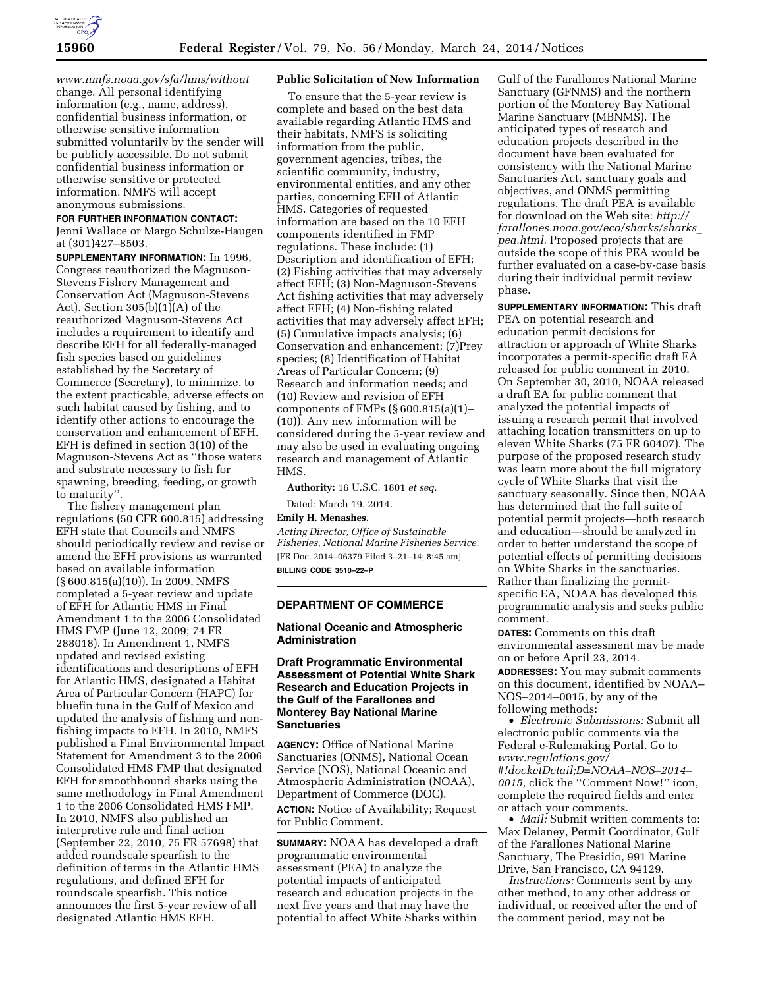

*[www.nmfs.noaa.gov/sfa/hms/without](http://www.nmfs.noaa.gov/sfa/hms/without)*  change. All personal identifying information (e.g., name, address), confidential business information, or otherwise sensitive information submitted voluntarily by the sender will be publicly accessible. Do not submit confidential business information or otherwise sensitive or protected information. NMFS will accept anonymous submissions.

## **FOR FURTHER INFORMATION CONTACT:**

Jenni Wallace or Margo Schulze-Haugen at (301)427–8503.

**SUPPLEMENTARY INFORMATION:** In 1996, Congress reauthorized the Magnuson-Stevens Fishery Management and Conservation Act (Magnuson-Stevens Act). Section 305(b)(1)(A) of the reauthorized Magnuson-Stevens Act includes a requirement to identify and describe EFH for all federally-managed fish species based on guidelines established by the Secretary of Commerce (Secretary), to minimize, to the extent practicable, adverse effects on such habitat caused by fishing, and to identify other actions to encourage the conservation and enhancement of EFH. EFH is defined in section 3(10) of the Magnuson-Stevens Act as ''those waters and substrate necessary to fish for spawning, breeding, feeding, or growth to maturity''.

The fishery management plan regulations (50 CFR 600.815) addressing EFH state that Councils and NMFS should periodically review and revise or amend the EFH provisions as warranted based on available information (§ 600.815(a)(10)). In 2009, NMFS completed a 5-year review and update of EFH for Atlantic HMS in Final Amendment 1 to the 2006 Consolidated HMS FMP (June 12, 2009; 74 FR 288018). In Amendment 1, NMFS updated and revised existing identifications and descriptions of EFH for Atlantic HMS, designated a Habitat Area of Particular Concern (HAPC) for bluefin tuna in the Gulf of Mexico and updated the analysis of fishing and nonfishing impacts to EFH. In 2010, NMFS published a Final Environmental Impact Statement for Amendment 3 to the 2006 Consolidated HMS FMP that designated EFH for smoothhound sharks using the same methodology in Final Amendment 1 to the 2006 Consolidated HMS FMP. In 2010, NMFS also published an interpretive rule and final action (September 22, 2010, 75 FR 57698) that added roundscale spearfish to the definition of terms in the Atlantic HMS regulations, and defined EFH for roundscale spearfish. This notice announces the first 5-year review of all designated Atlantic HMS EFH.

## **Public Solicitation of New Information**

To ensure that the 5-year review is complete and based on the best data available regarding Atlantic HMS and their habitats, NMFS is soliciting information from the public, government agencies, tribes, the scientific community, industry, environmental entities, and any other parties, concerning EFH of Atlantic HMS. Categories of requested information are based on the 10 EFH components identified in FMP regulations. These include: (1) Description and identification of EFH; (2) Fishing activities that may adversely affect EFH; (3) Non-Magnuson-Stevens Act fishing activities that may adversely affect EFH; (4) Non-fishing related activities that may adversely affect EFH; (5) Cumulative impacts analysis; (6) Conservation and enhancement; (7)Prey species; (8) Identification of Habitat Areas of Particular Concern; (9) Research and information needs; and (10) Review and revision of EFH components of FMPs (§ 600.815(a)(1)– (10)). Any new information will be considered during the 5-year review and may also be used in evaluating ongoing research and management of Atlantic HMS.

**Authority:** 16 U.S.C. 1801 *et seq.* 

Dated: March 19, 2014.

## **Emily H. Menashes,**

*Acting Director, Office of Sustainable Fisheries, National Marine Fisheries Service.*  [FR Doc. 2014–06379 Filed 3–21–14; 8:45 am] **BILLING CODE 3510–22–P** 

#### **DEPARTMENT OF COMMERCE**

## **National Oceanic and Atmospheric Administration**

## **Draft Programmatic Environmental Assessment of Potential White Shark Research and Education Projects in the Gulf of the Farallones and Monterey Bay National Marine Sanctuaries**

**AGENCY:** Office of National Marine Sanctuaries (ONMS), National Ocean Service (NOS), National Oceanic and Atmospheric Administration (NOAA), Department of Commerce (DOC). **ACTION:** Notice of Availability; Request for Public Comment.

**SUMMARY:** NOAA has developed a draft programmatic environmental assessment (PEA) to analyze the potential impacts of anticipated research and education projects in the next five years and that may have the potential to affect White Sharks within

Gulf of the Farallones National Marine Sanctuary (GFNMS) and the northern portion of the Monterey Bay National Marine Sanctuary (MBNMS). The anticipated types of research and education projects described in the document have been evaluated for consistency with the National Marine Sanctuaries Act, sanctuary goals and objectives, and ONMS permitting regulations. The draft PEA is available for download on the Web site: *[http://](http://farallones.noaa.gov/eco/sharks/sharks_pea.html) [farallones.noaa.gov/eco/sharks/sharks](http://farallones.noaa.gov/eco/sharks/sharks_pea.html)*\_ *[pea.html.](http://farallones.noaa.gov/eco/sharks/sharks_pea.html)* Proposed projects that are outside the scope of this PEA would be further evaluated on a case-by-case basis during their individual permit review phase.

**SUPPLEMENTARY INFORMATION:** This draft PEA on potential research and education permit decisions for attraction or approach of White Sharks incorporates a permit-specific draft EA released for public comment in 2010. On September 30, 2010, NOAA released a draft EA for public comment that analyzed the potential impacts of issuing a research permit that involved attaching location transmitters on up to eleven White Sharks (75 FR 60407). The purpose of the proposed research study was learn more about the full migratory cycle of White Sharks that visit the sanctuary seasonally. Since then, NOAA has determined that the full suite of potential permit projects—both research and education—should be analyzed in order to better understand the scope of potential effects of permitting decisions on White Sharks in the sanctuaries. Rather than finalizing the permitspecific EA, NOAA has developed this programmatic analysis and seeks public comment.

**DATES:** Comments on this draft environmental assessment may be made on or before April 23, 2014.

**ADDRESSES:** You may submit comments on this document, identified by NOAA– NOS–2014–0015, by any of the following methods:

• *Electronic Submissions:* Submit all electronic public comments via the Federal e-Rulemaking Portal. Go to *[www.regulations.gov/](http://www.regulations.gov/#!docketDetail;D=NOAA-NOS-2014-0015) [#!docketDetail;D=NOAA–NOS–2014–](http://www.regulations.gov/#!docketDetail;D=NOAA-NOS-2014-0015) [0015,](http://www.regulations.gov/#!docketDetail;D=NOAA-NOS-2014-0015)* click the ''Comment Now!'' icon, complete the required fields and enter or attach your comments.

• *Mail:* Submit written comments to: Max Delaney, Permit Coordinator, Gulf of the Farallones National Marine Sanctuary, The Presidio, 991 Marine Drive, San Francisco, CA 94129.

*Instructions:* Comments sent by any other method, to any other address or individual, or received after the end of the comment period, may not be